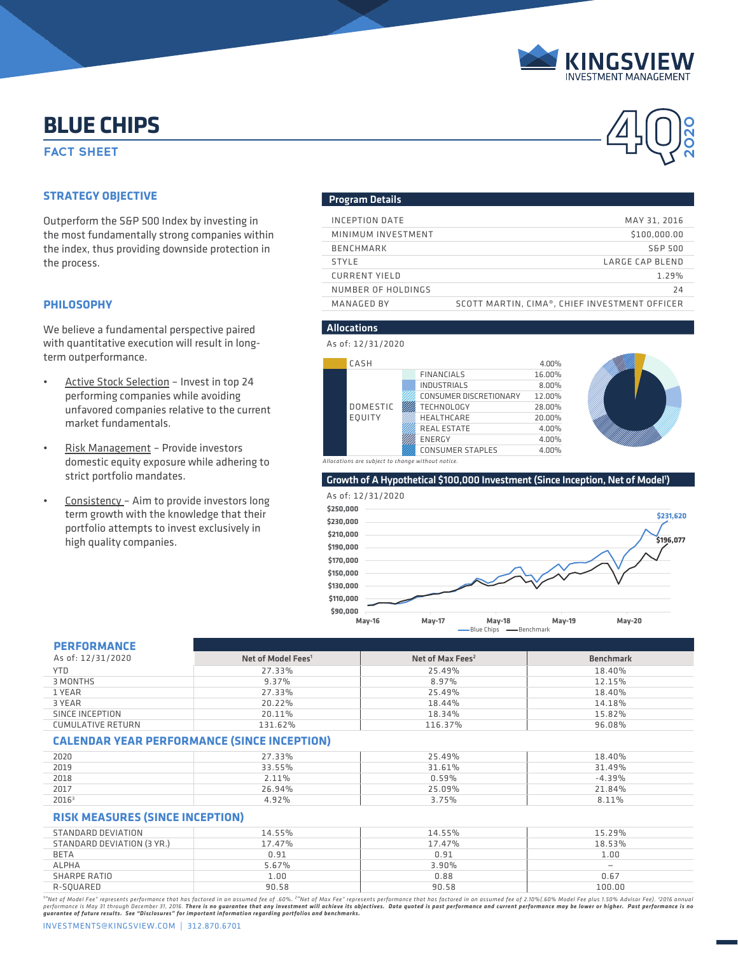

**2020**

# **ELUE CHIPS**<br>FACT SHEET **A BLUE CHIPS**

### **STRATEGY OBJECTIVE**

We believe a fundamental perspective paired with quantitative execution will result in longterm outperformance.

- Active Stock Selection Invest in top 24 performing companies while avoiding unfavored companies relative to the current market fundamentals.
- Risk Management Provide investors domestic equity exposure while adhering to strict portfolio mandates.
- Consistency Aim to provide investors long term growth with the knowledge that their portfolio attempts to invest exclusively in high quality companies.

#### Program Details

| Outperform the S&P 500 Index by investing in<br>the most fundamentally strong companies within<br>the index, thus providing downside protection in<br>the process. | INCEPTION DATE       | MAY 31, 2016                                  |
|--------------------------------------------------------------------------------------------------------------------------------------------------------------------|----------------------|-----------------------------------------------|
|                                                                                                                                                                    | MINIMUM INVESTMENT   | \$100,000.00                                  |
|                                                                                                                                                                    | BENCHMARK            | S&P 500                                       |
|                                                                                                                                                                    | <b>STYLE</b>         | LARGE CAP BLEND                               |
|                                                                                                                                                                    | <b>CURRENT YIELD</b> | 1.29%                                         |
|                                                                                                                                                                    | NUMBER OF HOLDINGS   | 24                                            |
| PHILOSOPHY                                                                                                                                                         | MANAGED BY           | SCOTT MARTIN, CIMA®, CHIEF INVESTMENT OFFICER |
|                                                                                                                                                                    |                      |                                               |

#### Allocations

As of: 12/31/2020

| CASH            |        |                         | 4.00%  |
|-----------------|--------|-------------------------|--------|
|                 |        | <b>FINANCIALS</b>       | 16.00% |
|                 |        | <b>INDUSTRIALS</b>      | 8.00%  |
|                 |        | CONSUMER DISCRETIONARY  | 12.00% |
| <b>DOMESTIC</b> |        | <b>TECHNOLOGY</b>       | 28.00% |
| EQUITY          |        | HEALTHCARE              | 20.00% |
|                 |        | <b>REAL ESTATE</b>      | 4.00%  |
|                 | ENERGY | 4.00%                   |        |
|                 |        | <b>CONSUMER STAPLES</b> | 4.00%  |



*Allocations are subject to change without notice.*

Growth of A Hypothetical \$100,000 Investment (Since Inception, Net of Model<sup>1</sup>)



#### **PERFORMANCE**

| PERFURMANLE       |                                |                              |                  |
|-------------------|--------------------------------|------------------------------|------------------|
| As of: 12/31/2020 | Net of Model Fees <sup>1</sup> | Net of Max Fees <sup>2</sup> | <b>Benchmark</b> |
| <b>YTD</b>        | 27.33%                         | 25.49%                       | 18.40%           |
| 3 MONTHS          | $9.37\%$                       | 8.97%                        | 12.15%           |
| 1 YEAR            | 27.33%                         | 25.49%                       | 18.40%           |
| 3 YEAR            | 20.22%                         | 18.44%                       | 14.18%           |
| SINCE INCEPTION   | 20.11%                         | 18.34%                       | 15.82%           |
| CUMULATIVE RETURN | 131.62%                        | 116.37%                      | 96.08%           |

#### **CALENDAR YEAR PERFORMANCE (SINCE INCEPTION)**

| 2020              | 27.33% | 25.49% | 18.40%   |
|-------------------|--------|--------|----------|
| 2019              | 33.55% | 31.61% | 31.49%   |
| 2018              | 2.11%  | 0.59%  | $-4.39%$ |
| 2017              | 26.94% | 25.09% | 21.84%   |
| 2016 <sup>3</sup> | 4.92%  | 3.75%  | 8.11%    |

#### **RISK MEASURES (SINCE INCEPTION)**

| STANDARD DEVIATION         | 14.55% | 14.55% | 15.29% |
|----------------------------|--------|--------|--------|
| STANDARD DEVIATION (3 YR.) | 17.47% | 17.47% | 18.53% |
| <b>BETA</b>                | 0.91   | 0.91   | 1.00   |
| <b>ALPHA</b>               | 5.67%  | 3.90%  |        |
| SHARPE RATIO               | 1.00   | 0.88   | 0.67   |
| R-SOUARED                  | 90.58  | 90.58  | 100.00 |
|                            |        |        |        |

"'Net of Model Fee" represents performance that has factored in an assumed fee of .60%. <sup>2</sup>"Net of Max Fee" represents performance that has factored in an assumed fee of 2.10%(.60% Model Fee plus 1.50% Advisor Fee). <sup>3</sup>201